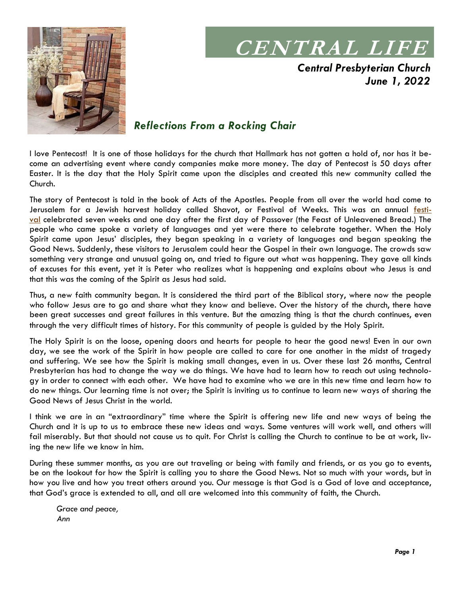

# **CENTRAL LIFE**

*Central Presbyterian Church June 1, 2022*

## *Reflections From a Rocking Chair*

I love Pentecost! It is one of those holidays for the church that Hallmark has not gotten a hold of, nor has it become an advertising event where candy companies make more money. The day of Pentecost is 50 days after Easter. It is the day that the Holy Spirit came upon the disciples and created this new community called the Church.

The story of Pentecost is told in the book of Acts of the Apostles. People from all over the world had come to Jerusalem for a Jewish harvest holiday called Shavot, or Festival of Weeks. This was an annual <u>festi-</u> [val](https://en.wikipedia.org/wiki/Harvest_festival) celebrated seven weeks and one day after the first day of Passover (the Feast of Unleavened Bread.) The people who came spoke a variety of languages and yet were there to celebrate together. When the Holy Spirit came upon Jesus' disciples, they began speaking in a variety of languages and began speaking the Good News. Suddenly, these visitors to Jerusalem could hear the Gospel in their own language. The crowds saw something very strange and unusual going on, and tried to figure out what was happening. They gave all kinds of excuses for this event, yet it is Peter who realizes what is happening and explains about who Jesus is and that this was the coming of the Spirit as Jesus had said.

Thus, a new faith community began. It is considered the third part of the Biblical story, where now the people who follow Jesus are to go and share what they know and believe. Over the history of the church, there have been great successes and great failures in this venture. But the amazing thing is that the church continues, even through the very difficult times of history. For this community of people is guided by the Holy Spirit.

The Holy Spirit is on the loose, opening doors and hearts for people to hear the good news! Even in our own day, we see the work of the Spirit in how people are called to care for one another in the midst of tragedy and suffering. We see how the Spirit is making small changes, even in us. Over these last 26 months, Central Presbyterian has had to change the way we do things. We have had to learn how to reach out using technology in order to connect with each other. We have had to examine who we are in this new time and learn how to do new things. Our learning time is not over; the Spirit is inviting us to continue to learn new ways of sharing the Good News of Jesus Christ in the world.

I think we are in an "extraordinary" time where the Spirit is offering new life and new ways of being the Church and it is up to us to embrace these new ideas and ways. Some ventures will work well, and others will fail miserably. But that should not cause us to quit. For Christ is calling the Church to continue to be at work, living the new life we know in him.

During these summer months, as you are out traveling or being with family and friends, or as you go to events, be on the lookout for how the Spirit is calling you to share the Good News. Not so much with your words, but in how you live and how you treat others around you. Our message is that God is a God of love and acceptance, that God's grace is extended to all, and all are welcomed into this community of faith, the Church.

*Grace and peace, Ann*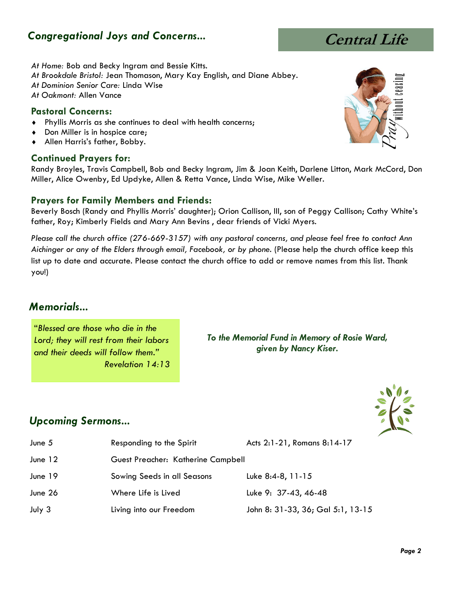## *Congregational Joys and Concerns...*

#### *At Home:* Bob and Becky Ingram and Bessie Kitts.

- *At Brookdale Bristol:* Jean Thomason, Mary Kay English, and Diane Abbey.
- *At Dominion Senior Care:* Linda Wise
- *At Oakmont:* Allen Vance

#### **Pastoral Concerns:**

- Phyllis Morris as she continues to deal with health concerns;
- Don Miller is in hospice care;
- Allen Harris's father, Bobby.

#### **Continued Prayers for:**

Randy Broyles, Travis Campbell, Bob and Becky Ingram, Jim & Joan Keith, Darlene Litton, Mark McCord, Don Miller, Alice Owenby, Ed Updyke, Allen & Retta Vance, Linda Wise, Mike Weller.

#### **Prayers for Family Members and Friends:**

Beverly Bosch (Randy and Phyllis Morris' daughter); Orion Callison, III, son of Peggy Callison; Cathy White's father, Roy; Kimberly Fields and Mary Ann Bevins , dear friends of Vicki Myers.

*Please call the church office (276-669-3157) with any pastoral concerns, and please feel free to contact Ann Aichinger or any of the Elders through email, Facebook, or by phone.* (Please help the church office keep this list up to date and accurate. Please contact the church office to add or remove names from this list. Thank you!)

#### *Memorials...*

"*Blessed are those who die in the Lord; they will rest from their labors and their deeds will follow them." Revelation 14:13*

*To the Memorial Fund in Memory of Rosie Ward, given by Nancy Kiser.*

### *Upcoming Sermons...*

- June 5 Responding to the Spirit Acts 2:1-21, Romans 8:14-17
- June 12 Guest Preacher: Katherine Campbell
- June 19 Sowing Seeds in all Seasons Luke 8:4-8, 11-15
- June 26 Where Life is Lived Luke 9: 37-43, 46-48
- July 3 Living into our Freedom John 8: 31-33, 36; Gal 5:1, 13-15

 *Page 2* 







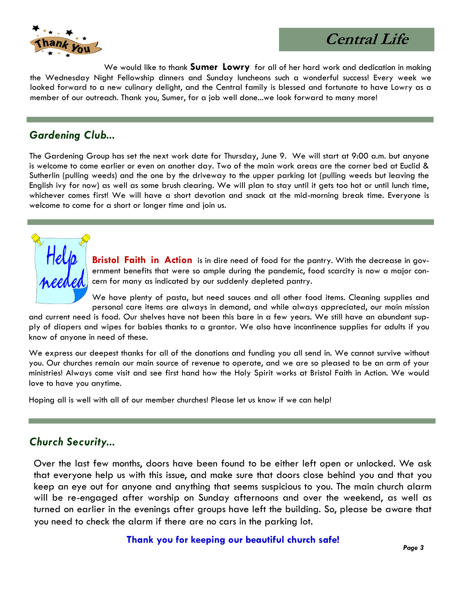

## **Central Life**

We would like to thank **Sumer Lowry** for all of her hard work and dedication in making the Wednesday Night Fellowship dinners and Sunday luncheons such a wonderful success! Every week we looked forward to a new culinary delight, and the Central family is blessed and fortunate to have Lowry as a member of our outreach. Thank you, Sumer, for a job well done...we look forward to many more!

#### *Gardening Club...*

The Gardening Group has set the next work date for Thursday, June 9. We will start at 9:00 a.m. but anyone is welcome to come earlier or even on another day. Two of the main work areas are the corner bed at Euclid & Sutherlin (pulling weeds) and the one by the driveway to the upper parking lot (pulling weeds but leaving the English ivy for now) as well as some brush clearing. We will plan to stay until it gets too hot or until lunch time, whichever comes first! We will have a short devotion and snack at the mid-morning break time. Everyone is welcome to come for a short or longer time and join us.

> **Bristol Faith in Action** is in dire need of food for the pantry. With the decrease in government benefits that were so ample during the pandemic, food scarcity is now a major concern for many as indicated by our suddenly depleted pantry.

> We have plenty of pasta, but need sauces and all other food items. Cleaning supplies and personal care items are always in demand, and while always appreciated, our main mission

and current need is food. Our shelves have not been this bare in a few years. We still have an abundant supply of diapers and wipes for babies thanks to a grantor. We also have incontinence supplies for adults if you know of anyone in need of these.

We express our deepest thanks for all of the donations and funding you all send in. We cannot survive without you. Our churches remain our main source of revenue to operate, and we are so pleased to be an arm of your ministries! Always come visit and see first hand how the Holy Spirit works at Bristol Faith in Action. We would love to have you anytime.

Hoping all is well with all of our member churches! Please let us know if we can help!

### *Church Security...*

Over the last few months, doors have been found to be either left open or unlocked. We ask that everyone help us with this issue, and make sure that doors close behind you and that you keep an eye out for anyone and anything that seems suspicious to you. The main church alarm will be re-engaged after worship on Sunday afternoons and over the weekend, as well as turned on earlier in the evenings after groups have left the building. So, please be aware that you need to check the alarm if there are no cars in the parking lot.

#### **Thank you for keeping our beautiful church safe!**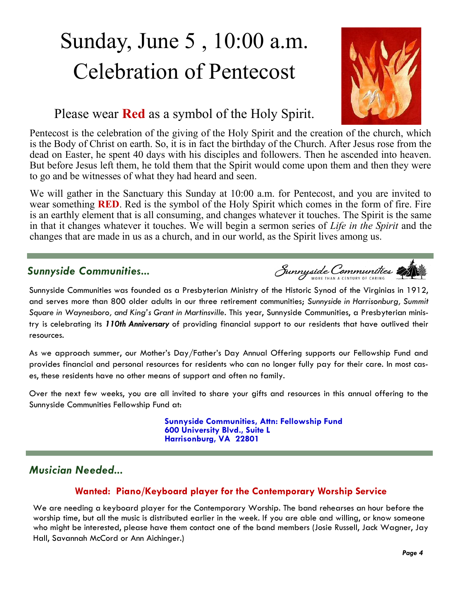# Sunday, June 5 , 10:00 a.m. Celebration of Pentecost



## Please wear **Red** as a symbol of the Holy Spirit.

Pentecost is the celebration of the giving of the Holy Spirit and the creation of the church, which is the Body of Christ on earth. So, it is in fact the birthday of the Church. After Jesus rose from the dead on Easter, he spent 40 days with his disciples and followers. Then he ascended into heaven. But before Jesus left them, he told them that the Spirit would come upon them and then they were to go and be witnesses of what they had heard and seen.

We will gather in the Sanctuary this Sunday at 10:00 a.m. for Pentecost, and you are invited to wear something **RED**. Red is the symbol of the Holy Spirit which comes in the form of fire. Fire is an earthly element that is all consuming, and changes whatever it touches. The Spirit is the same in that it changes whatever it touches. We will begin a sermon series of *Life in the Spirit* and the changes that are made in us as a church, and in our world, as the Spirit lives among us.

### *Sunnyside Communities...*

Sunnyside Communities

Sunnyside Communities was founded as a Presbyterian Ministry of the Historic Synod of the Virginias in 1912, and serves more than 800 older adults in our three retirement communities; *Sunnyside in Harrisonburg, Summit Square in Waynesboro, and King's Grant in Martinsville*. This year, Sunnyside Communities, a Presbyterian ministry is celebrating its *110th Anniversary* of providing financial support to our residents that have outlived their resources.

As we approach summer, our Mother's Day/Father's Day Annual Offering supports our Fellowship Fund and provides financial and personal resources for residents who can no longer fully pay for their care. In most cases, these residents have no other means of support and often no family.

Over the next few weeks, you are all invited to share your gifts and resources in this annual offering to the Sunnyside Communities Fellowship Fund at:

> **Sunnyside Communities, Attn: Fellowship Fund 600 University Blvd., Suite L Harrisonburg, VA 22801**

## *Musician Needed...*

#### **Wanted: Piano/Keyboard player for the Contemporary Worship Service**

We are needing a keyboard player for the Contemporary Worship. The band rehearses an hour before the worship time, but all the music is distributed earlier in the week. If you are able and willing, or know someone who might be interested, please have them contact one of the band members (Josie Russell, Jack Wagner, Jay Hall, Savannah McCord or Ann Aichinger.)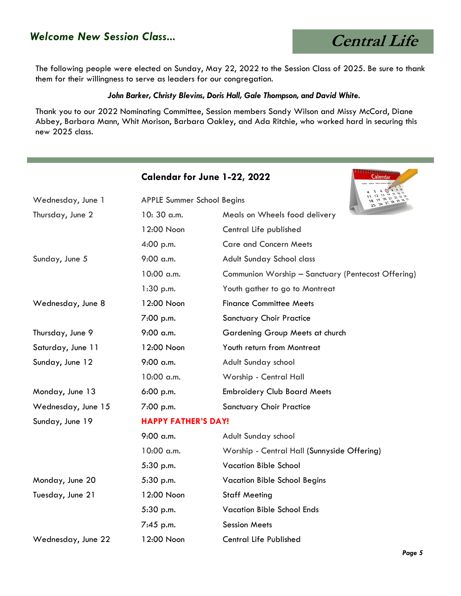## *Welcome New Session Class...*

 **Central Life**

**THE REPORT FOR THE RESIDENCE** 

The following people were elected on Sunday, May 22, 2022 to the Session Class of 2025. Be sure to thank them for their willingness to serve as leaders for our congregation.

#### *John Barker, Christy Blevins, Doris Hall, Gale Thompson, and David White.*

Thank you to our 2022 Nominating Committee, Session members Sandy Wilson and Missy McCord, Diane Abbey, Barbara Mann, Whit Morison, Barbara Oakley, and Ada Ritchie, who worked hard in securing this new 2025 class.

|                    |                                                           | Calendar for June 1-22, 2022<br><b>Calendar</b>    |  |
|--------------------|-----------------------------------------------------------|----------------------------------------------------|--|
| Wednesday, June 1  | <b>APPLE Summer School Begins</b><br>25 26 27 28 29 29 31 |                                                    |  |
| Thursday, June 2   | 10:30 a.m.                                                | Meals on Wheels food delivery                      |  |
|                    | 12:00 Noon                                                | Central Life published                             |  |
|                    | 4:00 p.m.                                                 | <b>Care and Concern Meets</b>                      |  |
| Sunday, June 5     | 9:00 a.m.                                                 | Adult Sunday School class                          |  |
|                    | 10:00 a.m.                                                | Communion Worship - Sanctuary (Pentecost Offering) |  |
|                    | 1:30 p.m.                                                 | Youth gather to go to Montreat                     |  |
| Wednesday, June 8  | 12:00 Noon                                                | <b>Finance Committee Meets</b>                     |  |
|                    | 7:00 p.m.                                                 | <b>Sanctuary Choir Practice</b>                    |  |
| Thursday, June 9   | 9:00 a.m.                                                 | Gardening Group Meets at church                    |  |
| Saturday, June 11  | 12:00 Noon                                                | Youth return from Montreat                         |  |
| Sunday, June 12    | 9:00 a.m.                                                 | Adult Sunday school                                |  |
|                    | 10:00 a.m.                                                | Worship - Central Hall                             |  |
| Monday, June 13    | 6:00 p.m.                                                 | <b>Embroidery Club Board Meets</b>                 |  |
| Wednesday, June 15 | 7:00 p.m.                                                 | <b>Sanctuary Choir Practice</b>                    |  |
| Sunday, June 19    | <b>HAPPY FATHER'S DAY!</b>                                |                                                    |  |
|                    | 9:00 a.m.                                                 | Adult Sunday school                                |  |
|                    | 10:00 a.m.                                                | Worship - Central Hall (Sunnyside Offering)        |  |
|                    | 5:30 p.m.                                                 | <b>Vacation Bible School</b>                       |  |
| Monday, June 20    | 5:30 p.m.                                                 | <b>Vacation Bible School Begins</b>                |  |
| Tuesday, June 21   | 12:00 Noon                                                | <b>Staff Meeting</b>                               |  |
|                    | 5:30 p.m.                                                 | <b>Vacation Bible School Ends</b>                  |  |
|                    | 7:45 p.m.                                                 | <b>Session Meets</b>                               |  |
| Wednesday, June 22 | 12:00 Noon                                                | <b>Central Life Published</b>                      |  |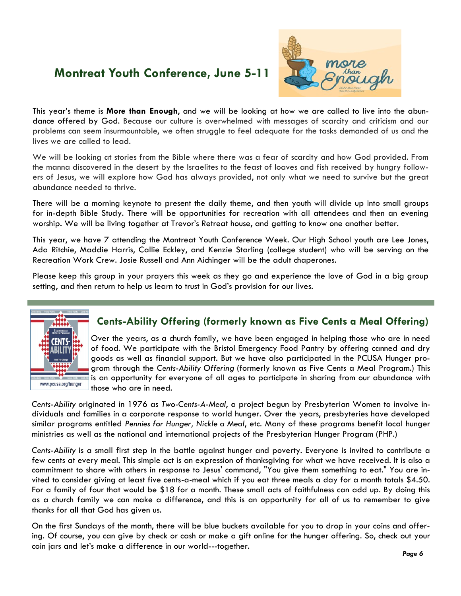## **Montreat Youth Conference, June 5-11**



This year's theme is **More than Enough**, and we will be looking at how we are called to live into the abundance offered by God. Because our culture is overwhelmed with messages of scarcity and criticism and our problems can seem insurmountable, we often struggle to feel adequate for the tasks demanded of us and the lives we are called to lead.

We will be looking at stories from the Bible where there was a fear of scarcity and how God provided. From the manna discovered in the desert by the Israelites to the feast of loaves and fish received by hungry followers of Jesus, we will explore how God has always provided, not only what we need to survive but the great abundance needed to thrive.

There will be a morning keynote to present the daily theme, and then youth will divide up into small groups for in-depth Bible Study. There will be opportunities for recreation with all attendees and then an evening worship. We will be living together at Trevor's Retreat house, and getting to know one another better.

This year, we have 7 attending the Montreat Youth Conference Week. Our High School youth are Lee Jones, Ada Ritchie, Maddie Harris, Callie Eckley, and Kenzie Starling (college student) who will be serving on the Recreation Work Crew. Josie Russell and Ann Aichinger will be the adult chaperones.

Please keep this group in your prayers this week as they go and experience the love of God in a big group setting, and then return to help us learn to trust in God's provision for our lives.



#### **Cents-Ability Offering (formerly known as Five Cents a Meal Offering)**

Over the years, as a church family, we have been engaged in helping those who are in need of food. We participate with the Bristol Emergency Food Pantry by offering canned and dry goods as well as financial support. But we have also participated in the PCUSA Hunger program through the *Cents-Ability Offering* (formerly known as Five Cents a Meal Program.) This is an opportunity for everyone of all ages to participate in sharing from our abundance with those who are in need.

*Cents-Ability* originated in 1976 as *Two-Cents-A-Meal*, a project begun by Presbyterian Women to involve individuals and families in a corporate response to world hunger. Over the years, presbyteries have developed similar programs entitled *Pennies for Hunger, Nickle a Meal*, etc. Many of these programs benefit local hunger ministries as well as the national and international projects of the Presbyterian Hunger Program (PHP.)

*Cents-Ability* is a small first step in the battle against hunger and poverty. Everyone is invited to contribute a few cents at every meal. This simple act is an expression of thanksgiving for what we have received. It is also a commitment to share with others in response to Jesus' command, "You give them something to eat." You are invited to consider giving at least five cents-a-meal which if you eat three meals a day for a month totals \$4.50. For a family of four that would be \$18 for a month. These small acts of faithfulness can add up. By doing this as a church family we can make a difference, and this is an opportunity for all of us to remember to give thanks for all that God has given us.

On the first Sundays of the month, there will be blue buckets available for you to drop in your coins and offering. Of course, you can give by check or cash or make a gift online for the hunger offering. So, check out your coin jars and let's make a difference in our world---together.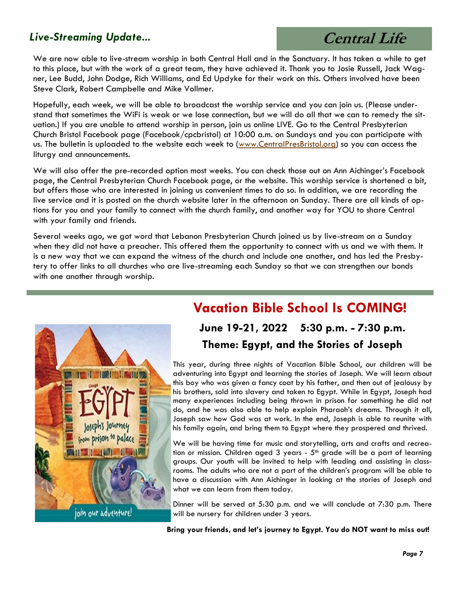### *Live-Streaming Update...*

# **Central Life**

We are now able to live-stream worship in both Central Hall and in the Sanctuary. It has taken a while to get to this place, but with the work of a great team, they have achieved it. Thank you to Josie Russell, Jack Wagner, Lee Budd, John Dodge, Rich Williams, and Ed Updyke for their work on this. Others involved have been Steve Clark, Robert Campbelle and Mike Vollmer.

Hopefully, each week, we will be able to broadcast the worship service and you can join us. (Please understand that sometimes the WiFi is weak or we lose connection, but we will do all that we can to remedy the situation.) If you are unable to attend worship in person, join us online LIVE. Go to the Central Presbyterian Church Bristol Facebook page (Facebook/cpcbristol) at 10:00 a.m. on Sundays and you can participate with us. The bulletin is uploaded to the website each week to ([www.CentralPresBristol.org\)](http://www.CentralPresBristol.org) so you can access the liturgy and announcements.

We will also offer the pre-recorded option most weeks. You can check those out on Ann Aichinger's Facebook page, the Central Presbyterian Church Facebook page, or the website. This worship service is shortened a bit, but offers those who are interested in joining us convenient times to do so. In addition, we are recording the live service and it is posted on the church website later in the afternoon on Sunday. There are all kinds of options for you and your family to connect with the church family, and another way for YOU to share Central with your family and friends.

Several weeks ago, we got word that Lebanon Presbyterian Church joined us by live-stream on a Sunday when they did not have a preacher. This offered them the opportunity to connect with us and we with them. It is a new way that we can expand the witness of the church and include one another, and has led the Presbytery to offer links to all churches who are live-streaming each Sunday so that we can strengthen our bonds with one another through worship.



## **Vacation Bible School Is COMING!**

## **June 19-21, 2022 5:30 p.m. - 7:30 p.m. Theme: Egypt, and the Stories of Joseph**

This year, during three nights of Vacation Bible School, our children will be adventuring into Egypt and learning the stories of Joseph. We will learn about this boy who was given a fancy coat by his father, and then out of jealousy by his brothers, sold into slavery and taken to Egypt. While in Egypt, Joseph had many experiences including being thrown in prison for something he did not do, and he was also able to help explain Pharaoh's dreams. Through it all, Joseph saw how God was at work. In the end, Joseph is able to reunite with his family again, and bring them to Egypt where they prospered and thrived.

We will be having time for music and storytelling, arts and crafts and recreation or mission. Children aged 3 years -  $5<sup>th</sup>$  grade will be a part of learning groups. Our youth will be invited to help with leading and assisting in classrooms. The adults who are not a part of the children's program will be able to have a discussion with Ann Aichinger in looking at the stories of Joseph and what we can learn from them today.

Dinner will be served at 5:30 p.m. and we will conclude at 7:30 p.m. There will be nursery for children under 3 years.

**Bring your friends, and let's journey to Egypt. You do NOT want to miss out!**